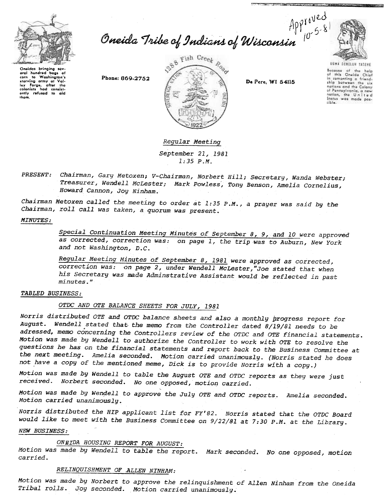

Approved<br>Oneida Tribe of Indians of Wisconsin  $10^{\circ}$  5-8



**THE STATISTICS** 

Oneidas bringing sev oral hundrad bags of<br>carn to Washington's<br>Istarving army at Val-<br>Icy Forgo, ofter the<br>colonists had cansist-<br>ontly refused to aid<br>thom.



**MacAdoos Company and Adobe Company of Company** 

**UGWA DENOLUN TATENE** Secouse of the help<br>of this Oneida Chief in comonting a friendnations and the Calony of Pennsylvania, a new notion, the United<br>Status was made pos-<br>Lible.

## Regular Meeting

September 21,1981 1:35 P.M.

Chairman, Gary Metoxen; V-Chairman, Norbert Hill; Secretary, Wanda Webster; PRESENT: Treasurer, Wendell McLester; Mark Powless, Tony Benson, Amelia Cornelius, Howard Cannon, Joy Ninham..

Chairman Metoxen called the meeting to order at  $1:35$  P.M., a prayer was said by the Chairman, roll call was taken, a quorum was present.

## MINUTES:

Special Continuation Meeting Minutes of September 8, 9, and 10 were approved<br>as corrected, correction was: on page 1, the trip was to Auburn, New York and not Washington, D.C.

Regular Meeting Minutes of September 8, 1981 were approved as corrected, correction was: on page 2, under Wendell McLester,"Joe stated that when his secretary was made Adminstrative Assistant would be reflected in past minutes."

### TABLED BUSINESS:

OTDC AND OTE BALANCE SHEETS FOR JULY, 1981

Special Continuation Meeting Minutes of September 8,  $\theta$ , and 10 were approximated as corrected, contently to minutes of September 8, 1991 were approved as corrected, corrected as corrected as corrected as corrected as c Norris distributed OTE and OTDC balance sheets and also a monthly progress report for August. Wendell stated that. the memo from the Controller dated 8/19/81 needs to be adressed, memo concerning the Controllers review of the OTDC and OTE financial statements. Motion was made by Wendell to authorize the Controller to work with OTE to resolve the questions he has on the financial statements and report back to the Business Committee at the next meeting. Amelia seconded. Motion carried unanimously. (Norris stated he does not have a copy of the mentioned meme, Dick is to provide Norris with a copy.)

Motion was made by Wendell to table the August OTE and OTDC reports as they were just received. Norbert seconded. No one opposed, motion carried.

Motion was made by Wendell to approve the July OTE and OTDC reports. Amelia seconded. Motion carried unanimously.

Norris distributed the HIP applicant list for Fy'82. Norris stated that the OTDC Board would like to meet with the Business Committee on 9/22/81 at 7:30 P.M. at the Library.

# NEW BUSINESS: -

ONEIDA HOUSING REPORT FOR AUGUST:

Motion was made by Wendell to table the report. Mark seconded. No one opposed, motio carried.

## RELINQUISHMENT OF ALLEN NINHAM:

Motion was made by Norbert to approve the relinquishment of Allen Ninham from the Oneida Tribal rolls. Joy seconded. Motion carried unanimously.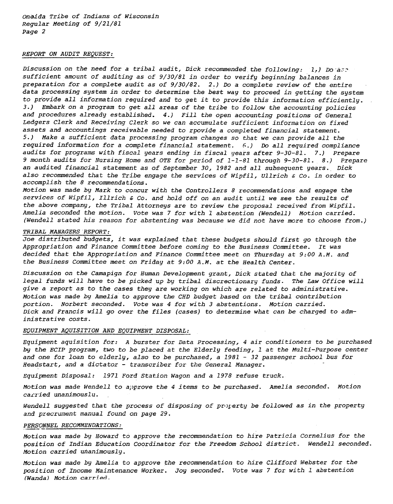Onaida Tribe of Indians of Wisconsin Regular Meeting of 9/21/81 Page 2

### REPORT ON AUDIT REQUEST:

Discussion on the need for a tribal audit, Dick recommended the following:  $1,$ ) Do  $a_{52}$ . sufficient amount of auditing as of 9/30/81 in order to verify beginning balances in preparation for a complete audit as of 9/30/82. 2.) Do a complete review of the entire data processing system in order to determine the best way to proceed in getting the system to provide all information required and to get it to provide this information efficiently. 3.) Embark on a program to get all areas of the tribe to follow the accounting policies and procedures already established. 4.) Fill the open accounting positions of General Ledgers Clerk and Receiving Clerk so we can accumulate sufficient information on fixed assets and accountings receivable needed to rpovide a completed financial statement. 5.) Make a sufficient data processing program changes so that we can provide all the required information for a complete financial statement. 6.) Do all required compliance audits for programs with fiscal years ending in fiscal years after 9-30-81. 7.) Prepare 9 month audits for Nursing Home and OTE for period of 1-1-81 through 9-30-81. 8.) Prepare an audited financial statement as of September 30,1982 and all subsequent years. Dick also recommended that the Tribe engage the services of Wipfil, Ullrich & Co. in order to accomplish the 8 recommendations.

Motion was made by Mark to concur with the Controllers 8 reconunendations and engage the services of Wipfil, Illrich & Co. and hold off on an audit until we see the results of the above company, the Tribal Attorneys are to review the proposal received from Wipfil. Amelia seconded the motion. Vote was 7 for with 1 abstention (Wendell) Motion carried. (Wendell stated his reason for abstenting was because we did not have more to choose from.)

#### TRIBAL MANAGERS REPORT:

Joe distributed budgets, it was explained that these budgets should first go through the Appropriation and Finance Committee before coming to the Business Committee. It was decided that the Appropriation and Finance Committee meet on Thursday at 9:00 A.M. and the Business Committee meet on Friday at 9:00 A.M. at the Health Center.

Discussion on the Camapign for Human Development grant, Dick stated that the majority of legal funds will have to be picked up by tribal discrectionary funds. The Law Office will give a report as to the cases they are working on which are related to administrative. Motion was made by Amelia to approve the CHD budget based on the tribal contribution portion. Norbert seconded. Vote was 4 for with 3 abstentions. Motion carried. Dick and Francis will go over the files (cases) to determine what can be charged to administrative costs.

#### EQUIPMENT AQUISITION AND EQUIPMENT DISPOSAL:

Equipment aquisition for: A burster for Data Processing, 4 air conditioners to be purchased by the ECIP program, two to be placed at the Elderly feeding, 1 at the Multi-Purpose center and one for loan to elderly, also to be purchased, a 1981 - 32 passenger school bus for Headstart, and a dictator - transcriber for the General Manager.

Equipment Disposal: 1971 Ford Station Wagon and a 1978 refuse truck.

Motion was made Wendell to a; prove the 4 items to be purchased. Amelia seconded. Motion carried unanimouslu.

Wendell suggested that the process of disposing of proferty be followed as in the property and precrument manual found on page 29.

## PERSONNEL RECOMMENDATIONS:

Motion was made by Howard to approve the recommendation to hire Patricia Cornelius for the position of Indian Education Coordinator for the Freedom School district. Wendell seconded. Motion carried unanimously.

Motion was made by Amelia to approve the recommendation to hire Clifford Webster for the position of Income Maintenance Worker. Joy seconded. Vote was 7 for with 1 abstention (Wanda) Motion carried.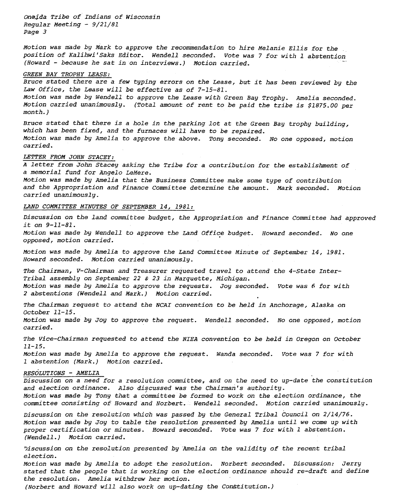Onaida Tribe of Indians of Wisconsin Regular Meeting - 9/21/81 Page 3

Motion was made by Mark to approve the recommendation to hire Melanie Ellis for the position of Kalihwi'Saks Editor. Wendell seconded. Vote was 7 for with 1 abstention (Howard - because he sat in on interviews.) Motion carried.

### GREEN BAY TROPHY LEASE:

Bruce stated there are a few typing errors on the Lease, but it has been reviewed by the Law Office, the Lease will be effective as of 7-15-81. Motion was made by Wendell to approve the Lease with Green Bay Trophy. Amelia seconded. Motion carried unanimously. (Total amount of rent to be paid the tribe is \$1875.00 per month.)

Bruce stated that there is a hole in the parking lot at the Green Bay trophy building, which has been fixed, and the furnaces will have to be repaired. Motion was made by Amelia to approve the above. Tony seconded. No one opposed, motion carried.

# LETTER FROM JOHN STACEY:

A letter from John Stacey asking the Tribe for a contribution for the establishment of a memorial fund for Angelo LeMere.

Motion was made by Amelia that the Business Committee make some type of contribution and the Appropriation and Finance Committee determine the amount. Mark seconded. Motion carried unanimously.

#### LAND COMMITTEE MINUTES OF SEPTEMBER 14, 1981:

Discussion on the land committee budget, the Appropriation and Finance Committee had approved it on 9-11-81.

Motion was made by Wendell to approve the Land Office budget. Howard seconded. No one opposed, motion carried.

Motion was made by Amelia to approve the Land Committee Minute of September 14,1981. Howard seconded. Motion carried unanimously.

The Chairman, V-Chairman and Treasurer requested travel to attend the 4-State Inter-Tribal assembly on September 22 & 23 in Marquette, Michigan. Motion was made by Amelia to approve the requests. Joy seconded. Vote was 6 for with 2 abstentions (Wendell and Mark.) Motion carried. .

The Chairman request to attend the NCAI convention to be held in Anchorage, Alaska on October 11-15.

Motion was made by Joy to approve the request. Wendell seconded. No one opposed, motion carried.

The Vice-Chairman requested to attend the NIEA convention to be held in Oregon on October 11-15.

Motion was made by Amelia to approve the request. Wanda seconded. Vote was 7 for with 1 abstention (Mark.) Motion carried.

### RESOLUTIONS -AMELIA

Discussion on a need for a resolution committee, and on the need to up-date the constitution and election ordinance. Also discussed was the Chairman's authority. Motion was made by Tony that a committee be formed to work on the election ordinance, the committee consisting of Howard and Norbert. Wendell seconded. Motion carried unanimously.

Discussion on the resolution which was passed by the General Tribal Council on 2/14/76. Motion was made by Joy to table the resolution presented by Amelia until we come up with proper certification or minutes. Howard seconded. Vote was 7 for with 1 abstention. (Wendell.) Motion carried.

Discussion on the resolution presented by Amelia on the validity of the recent tribal election.

Motion was made by Amelia to adopt the resolution. Norbert seconded. Discussion: Jerry stated that the people that is working on the election ordinance should re-draft and define the resolution. Amelia withdrew her motion.

(Norbert and Howard will also work on up-dating the Constitution.)